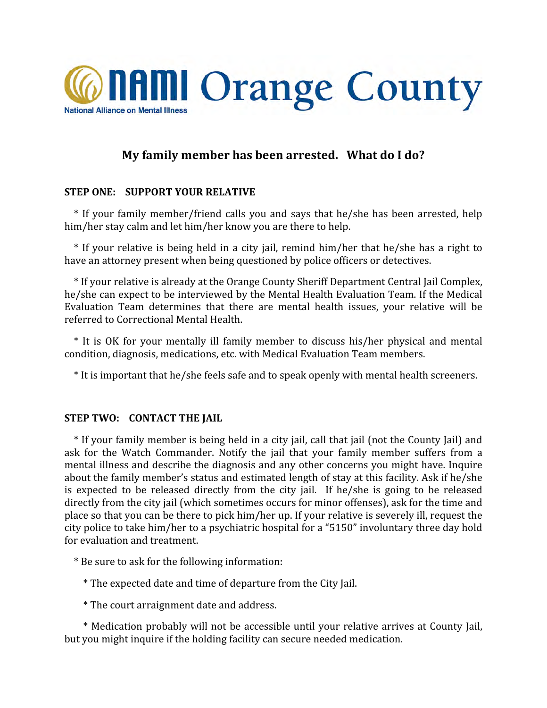

# My family member has been arrested. What do I do?

# **STEP
ONE:

SUPPORT
YOUR
RELATIVE**

\*
 If
 your
 family
member/friend
 calls
 you
 and
 says
 that
 he/she
 has
 been
 arrested,
 help him/her stay calm and let him/her know you are there to help.

\*
 If
 your
 relative
is
 being
 held
in
a
 city
jail,
 remind
 him/her
 that
 he/she
 has
a
 right
 to have
an
attorney
present
when
being
questioned
by
police
officers
or
detectives.

\* If your relative is already at the Orange County Sheriff Department Central Jail Complex, he/she can expect to be interviewed by the Mental Health Evaluation Team. If the Medical Evaluation Team determines that there are mental health issues, your relative will be referred
to
Correctional
Mental
Health.

\*
 It
 is
 OK
 for
 your
 mentally
 ill family
 member
 to
 discuss
 his/her
 physical
 and
 mental condition,
diagnosis,
medications,
etc.
with
Medical
Evaluation
Team
members.

\*
It
is
important
that
he/she
feels
safe
and
to
speak
openly
with
mental
health
screeners.

### **STEP TWO: CONTACT THE JAIL**

\* If your family member is being held in a city jail, call that jail (not the County Jail) and ask for the Watch Commander. Notify the jail that your family member suffers from a mental
illness
and
describe
the
diagnosis
and
any
other
concerns
you
might
have.
Inquire about
the
family
member's
status
and
estimated
length
of
stay
at
this
facility.
Ask
if
he/she is expected to be released directly from the city jail. If he/she is going to be released directly from the city jail (which sometimes occurs for minor offenses), ask for the time and place
so
that
you
can
be
there
to
pick
him/her
up.
If
your
relative
is
severely
ill,
request
the city
police
to
take
him/her
to
a
psychiatric
hospital
for
a
"5150"
involuntary
three
day
hold for
evaluation
and
treatment.

\*
Be
sure
to
ask
for
the
following
information:

\*
The
expected
date
and
time
of
departure
from
the
City
Jail.

\*
The
court
arraignment
date
and
address.

\* Medication probably will not be accessible until your relative arrives at County Jail, but
you
might
inquire
if
the
holding
facility
can
secure
needed
medication.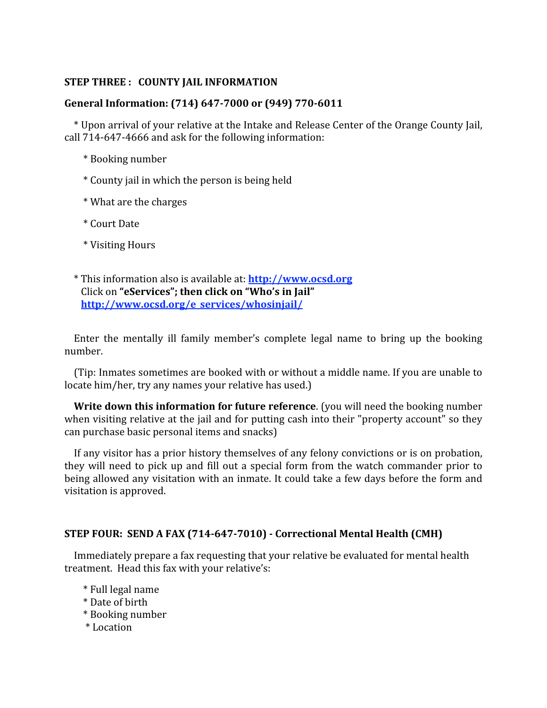# **STEP
THREE
:

COUNTY
JAIL
INFORMATION**

# General Information: (714) 647-7000 or (949) 770-6011

\* Upon arrival of your relative at the Intake and Release Center of the Orange County Jail, call
714‐647‐4666
and
ask
for
the
following
information:

- \*
Booking
number
- \*
County
jail
in
which
the
person
is
being
held
- \*
What
are
the
charges
- \*
Court
Date
- \*
Visiting
Hours
- \*
This
information
also
is
available
at: **http://www.ocsd.org** Click
on **"eServices";
then
click
on
"Who's
in
Jail" http://www.ocsd.org/e\_services/whosinjail/**

Enter the mentally ill family member's complete legal name to bring up the booking number.

(Tip:
Inmates
sometimes
are
booked
with
or
without
a
middle
name.
If
you
are
unable
to locate
him/her,
try
any
names
your
relative
has
used.)

**Write down this information for future reference**. (you will need the booking number when visiting relative at the jail and for putting cash into their "property account" so they can
purchase
basic
personal
items
and
snacks)

If any visitor has a prior history themselves of any felony convictions or is on probation, they will need to pick up and fill out a special form from the watch commander prior to being allowed any visitation with an inmate. It could take a few days before the form and visitation
is
approved.

### STEP FOUR: SEND A FAX (714-647-7010) - Correctional Mental Health (CMH)

Immediately
prepare
a
fax
requesting
that
your
relative
be
evaluated
for
mental
health treatment.

Head
this
fax
with
your
relative's:

- \*
Full
legal
name
- \*
Date
of
birth
- \*
Booking
number
- \*
Location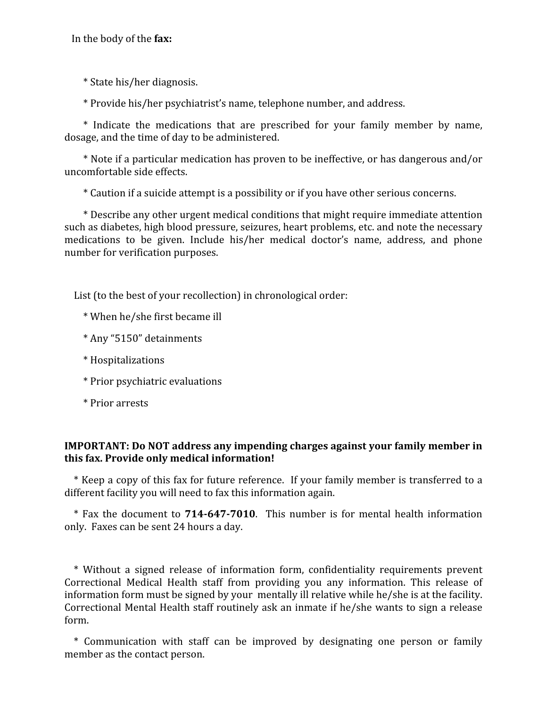In
the
body
of
the **fax:**

\*
State
his/her
diagnosis.

\*
Provide
his/her
psychiatrist's
name,
telephone
number,
and
address.

\* Indicate the medications that are prescribed for your family member by name, dosage,
and
the
time
of
day
to
be
administered.

\*
Note
if
a
particular
medication
has
proven
to
be
ineffective,
or
has
dangerous
and/or uncomfortable
side
effects.

\*
Caution
if
a
suicide
attempt
is
a
possibility
or
if
you
have
other
serious
concerns.

\* Describe any other urgent medical conditions that might require immediate attention such
as
diabetes,
high
blood
pressure,
seizures,
heart
problems,
etc.
and
note
the
necessary medications to be given. Include his/her medical doctor's name, address, and phone number
for
verification
purposes.

List (to the best of your recollection) in chronological order:

- \*
When
he/she
first
became
ill
- \*
Any
"5150"
detainments
- \*
Hospitalizations
- \*
Prior
psychiatric
evaluations
- \*
Prior
arrests

# **IMPORTANT:** Do NOT address any impending charges against your family member in **this
fax.
Provide
only
medical
information!**

\* Keep a copy of this fax for future reference. If your family member is transferred to a different
facility
you
will
need
to
fax
this
information
again.

\* Fax the document to **714-647-7010**. This number is for mental health information only.

Faxes
can
be
sent
24
hours
a
day.

\*
 Without
 a
 signed
 release
 of
 information
 form,
 confidentiality
 requirements
 prevent Correctional Medical Health staff from providing you any information. This release of information form must be signed by your mentally ill relative while he/she is at the facility. Correctional Mental Health staff routinely ask an inmate if he/she wants to sign a release form.

\*
 Communication
 with
 staff
 can
 be
 improved
 by
 designating
 one
 person
 or
 family member
as
the
contact
person.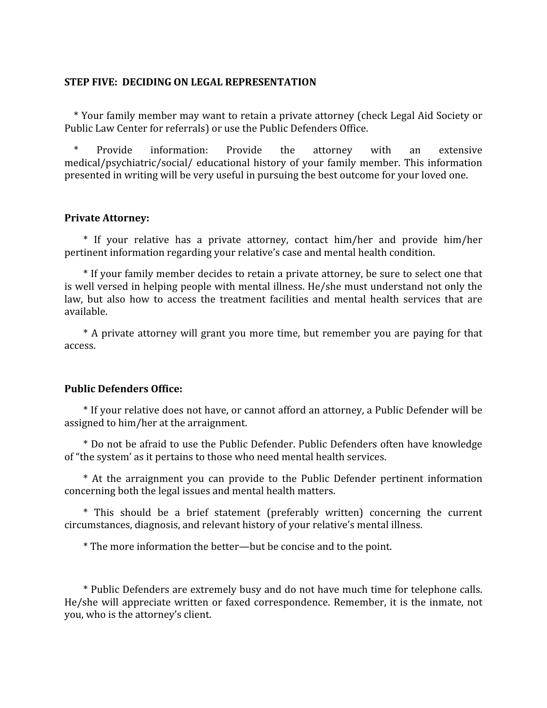#### **STEP
FIVE:

DECIDING
ON
LEGAL
REPRESENTATION**

\*
Your
family
member
may
want
to
retain
a
private
attorney
(check
Legal
Aid
Society
or Public
Law
Center
for
referrals)
or
use
the
Public
Defenders
Office.

Provide information: Provide the attorney with an extensive medical/psychiatric/social/ educational history of your family member. This information presented
in
writing
will
be
very
useful
in
pursuing
the
best
outcome
for
your
loved
one.

### **Private
Attorney:**

\* If your relative has a private attorney, contact him/her and provide him/her pertinent
information
regarding
your
relative's
case
and
mental
health
condition.

\*
If
your
family
member
decides
to
retain
a
private
attorney,
be
sure
to
select
one
that is well versed in helping people with mental illness. He/she must understand not only the law, but also how to access the treatment facilities and mental health services that are available.

\* A private attorney will grant you more time, but remember you are paying for that access.

### **Public
Defenders
Office:**

\*
If
your
relative
does
not
have,
or
cannot
afford
an
attorney,
a
Public
Defender
will
be assigned
to
him/her
at
the
arraignment.

\*
Do
not
be
afraid
to
use
the
Public
Defender.
Public
Defenders
often
have
knowledge of
"the
system'
as
it
pertains
to
those
who
need
mental
health
services.

\*
 At
 the
 arraignment
 you
 can
 provide
 to
 the
 Public
 Defender
 pertinent
 information concerning
both
the
legal
issues
and
mental
health
matters.

\*
 This
 should
 be
 a
 brief
 statement
 (preferably
 written)
 concerning
 the
 current circumstances,
diagnosis,
and
relevant
history
of
your
relative's
mental
illness.

\*
The
more
information
the
better—but
be
concise
and
to
the
point.

\*
Public
Defenders
are
extremely
busy
and
do
not
have
much
time
for
telephone
calls. He/she will appreciate written or faxed correspondence. Remember, it is the inmate, not you,
who
is
the
attorney's
client.